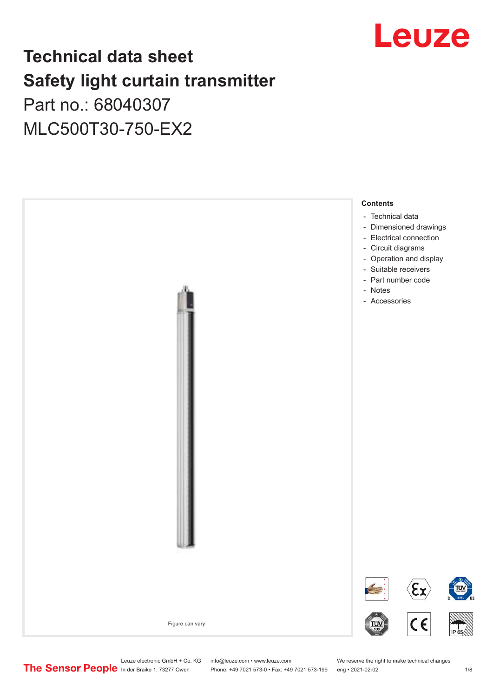

# **Technical data sheet Safety light curtain transmitter** Part no.: 68040307

MLC500T30-750-EX2



Leuze electronic GmbH + Co. KG info@leuze.com • www.leuze.com We reserve the right to make technical changes<br>
The Sensor People in der Braike 1, 73277 Owen Phone: +49 7021 573-0 • Fax: +49 7021 573-199 eng • 2021-02-02

Phone: +49 7021 573-0 • Fax: +49 7021 573-199 eng • 2021-02-02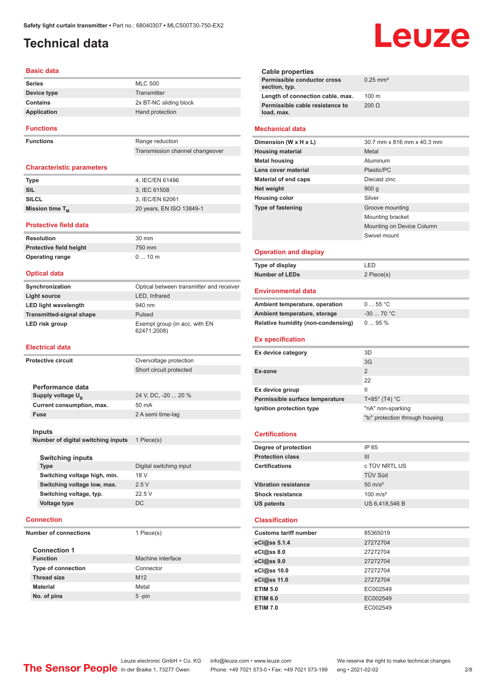# <span id="page-1-0"></span>**Technical data**

#### **Basic data**

| <b>Series</b>    | <b>MLC 500</b>         |
|------------------|------------------------|
| Device type      | Transmitter            |
| Contains         | 2x BT-NC sliding block |
| Application      | Hand protection        |
| <b>Functions</b> |                        |

**Functions** Range reduction

Transmission channel changeover

#### **Characteristic parameters**

| <b>Type</b>          | 4. IEC/EN 61496          |
|----------------------|--------------------------|
| SIL                  | 3. IEC 61508             |
| <b>SILCL</b>         | 3. IEC/EN 62061          |
| Mission time $T_{M}$ | 20 years, EN ISO 13849-1 |

#### **Protective field data**

**Resolution** 30 mm **Protective field height** 750 mm **Operating range** 0 ... 10 m

#### **Optical data**

| Synchronization                 | Optical between transmitter and receiver     |
|---------------------------------|----------------------------------------------|
| Light source                    | LED, Infrared                                |
| <b>LED light wavelength</b>     | 940 nm                                       |
| <b>Transmitted-signal shape</b> | Pulsed                                       |
| LED risk group                  | Exempt group (in acc. with EN<br>62471:2008) |

#### **Electrical data**

| <b>Protective circuit</b>          | Overvoltage protection  |
|------------------------------------|-------------------------|
|                                    | Short circuit protected |
|                                    |                         |
| Performance data                   |                         |
| Supply voltage U <sub>B</sub>      | 24 V, DC, -20  20 %     |
| Current consumption, max.          | 50 mA                   |
| <b>Fuse</b>                        | 2 A semi time-lag       |
|                                    |                         |
| Inputs                             |                         |
| Number of digital switching inputs | 1 Piece(s)              |
|                                    |                         |
| <b>Switching inputs</b>            |                         |
| <b>Type</b>                        | Digital switching input |
| Switching voltage high, min.       | 18 V                    |
| Switching voltage low, max.        | 2.5V                    |
| Switching voltage, typ.            | 22.5 V                  |
| Voltage type                       | <b>DC</b>               |
|                                    |                         |
| <b>Connection</b>                  |                         |
| <b>Number of connections</b>       | 1 Piece(s)              |
|                                    |                         |
| <b>Connection 1</b>                |                         |

| <b>Function</b>           | Machine interface |
|---------------------------|-------------------|
| <b>Type of connection</b> | Connector         |
| <b>Thread size</b>        | M <sub>12</sub>   |
| <b>Material</b>           | Metal             |
| No. of pins               | $5$ -pin          |

| <b>Cable properties</b>                       |                        |
|-----------------------------------------------|------------------------|
| Permissible conductor cross<br>section, typ.  | $0.25$ mm <sup>2</sup> |
| Length of connection cable, max.              | $100 \text{ m}$        |
| Permissible cable resistance to<br>load, max. | $200 \Omega$           |
| <b>Mechanical data</b>                        |                        |

#### **Dimension (W x H x L)** 30.7 mm x 816 mm x 40.3 mm **Housing material** Metal **Metal housing Aluminum Lens cover material** Plastic/PC **Material of end caps** Diecast zinc **Net weight** 900 g **Housing color** Silver **Type of fastening** Groove mounting Mounting bracket Mounting on Device Column Swivel mount

#### **Operation and display**

| Type of display | ' FD.      |
|-----------------|------------|
| Number of LEDs  | 2 Piece(s) |

#### **Environmental data**

| Ambient temperature, operation     | 055 °C     |
|------------------------------------|------------|
| Ambient temperature, storage       | $-3070 °C$ |
| Relative humidity (non-condensing) | $095\%$    |

#### **Ex specification**

| Ex device category              | 3D                               |
|---------------------------------|----------------------------------|
|                                 | 3G                               |
| Ex-zone                         | 2                                |
|                                 | 22                               |
| Ex device group                 | Ш                                |
| Permissible surface temperature | $T < 85^\circ$ (T4) $^{\circ}$ C |
| Ignition protection type        | "nA" non-sparking                |
|                                 | "tc" protection through housing  |
|                                 |                                  |

#### **Certifications**

| Degree of protection        | IP 65               |
|-----------------------------|---------------------|
| <b>Protection class</b>     | Ш                   |
| <b>Certifications</b>       | c TÜV NRTL US       |
|                             | <b>TÜV Süd</b>      |
| <b>Vibration resistance</b> | $50 \text{ m/s}^2$  |
| <b>Shock resistance</b>     | $100 \text{ m/s}^2$ |
| <b>US patents</b>           | US 6,418,546 B      |
|                             |                     |

#### **Classification**

| <b>Customs tariff number</b> | 85365019 |
|------------------------------|----------|
| eCl@ss 5.1.4                 | 27272704 |
| eCl@ss 8.0                   | 27272704 |
| eCl@ss 9.0                   | 27272704 |
| eCl@ss 10.0                  | 27272704 |
| eCl@ss 11.0                  | 27272704 |
| <b>ETIM 5.0</b>              | EC002549 |
| <b>ETIM 6.0</b>              | EC002549 |
| <b>ETIM 7.0</b>              | EC002549 |

Leuze electronic GmbH + Co. KG info@leuze.com • www.leuze.com We reserve the right to make technical changes<br>
The Sensor People in der Braike 1, 73277 Owen Phone: +49 7021 573-0 • Fax: +49 7021 573-199 eng • 2021-02-02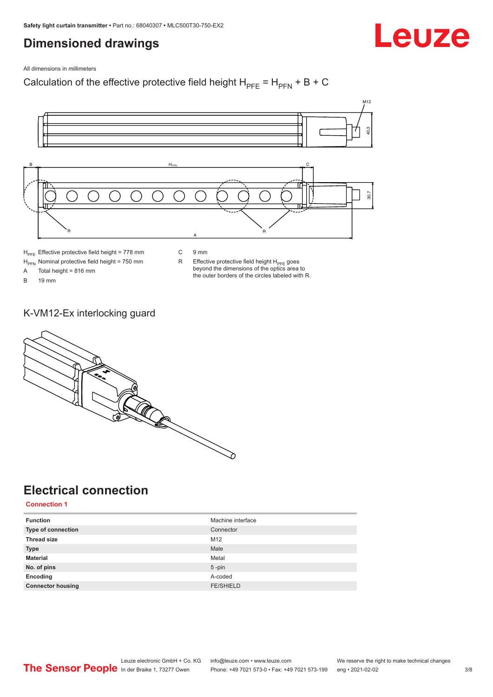# <span id="page-2-0"></span>**Dimensioned drawings**

Leuze

All dimensions in millimeters

Calculation of the effective protective field height  $H_{PFE} = H_{PFN} + B + C$ 



 $H<sub>PFE</sub>$  Effective protective field height = 778 mm

 $H_{\text{PFN}}$  Nominal protective field height = 750 mm<br>A Total height = 816 mm

Total height = 816 mm

B 19 mm

C 9 mm

 $R$  Effective protective field height  $H_{PFE}$  goes beyond the dimensions of the optics area to the outer borders of the circles labeled with R.

K-VM12-Ex interlocking guard



# **Electrical connection**

**Connection 1**

| <b>Function</b>           | Machine interface |
|---------------------------|-------------------|
| <b>Type of connection</b> | Connector         |
| <b>Thread size</b>        | M12               |
| <b>Type</b>               | Male              |
| <b>Material</b>           | Metal             |
| No. of pins               | $5$ -pin          |
| Encoding                  | A-coded           |
| <b>Connector housing</b>  | <b>FE/SHIELD</b>  |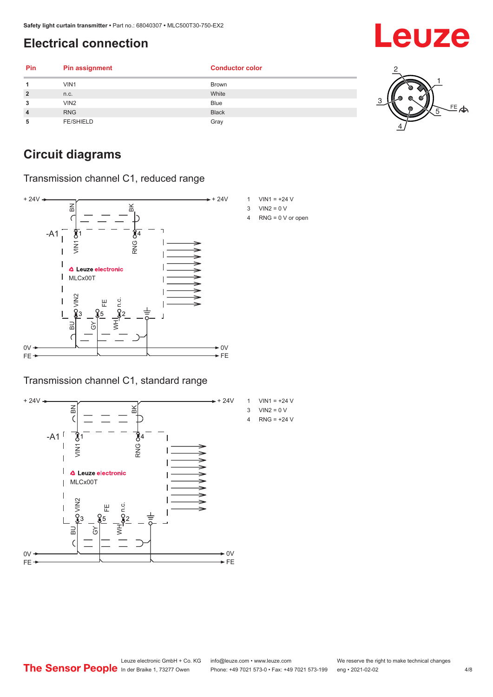# <span id="page-3-0"></span>**Electrical connection**

| Pin            | <b>Pin assignment</b> | <b>Conductor color</b> |    |
|----------------|-----------------------|------------------------|----|
| 4              | VIN1                  | <b>Brown</b>           |    |
| $\overline{2}$ | n.c.                  | White                  |    |
| 3              | VIN2                  | <b>Blue</b>            |    |
| $\overline{4}$ | <b>RNG</b>            | <b>Black</b>           | 写今 |
| 5              | <b>FE/SHIELD</b>      | Gray                   |    |

# **Circuit diagrams**

Transmission channel C1, reduced range



#### Transmission channel C1, standard range





- $3$  VIN2 = 0 V
- 4 RNG = 0 V or open

Leuze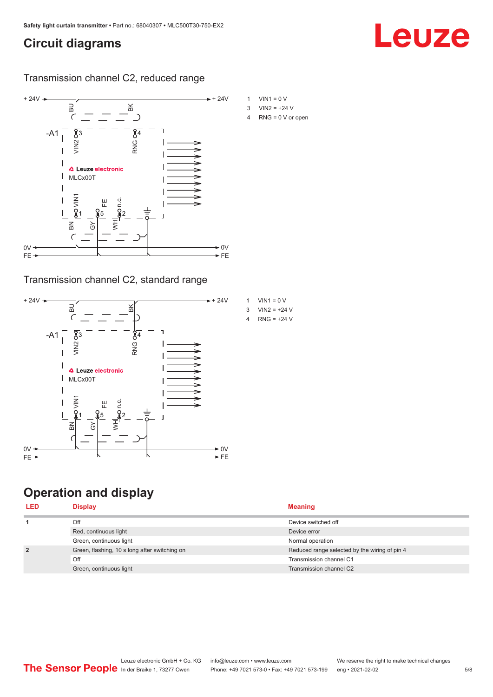# <span id="page-4-0"></span>**Circuit diagrams**

#### Transmission channel C2, reduced range



#### Transmission channel C2, standard range



# **Operation and display**

| <b>Display</b>                                | <b>Meaning</b>                                |
|-----------------------------------------------|-----------------------------------------------|
| Off                                           | Device switched off                           |
| Red, continuous light                         | Device error                                  |
| Green, continuous light                       | Normal operation                              |
| Green, flashing, 10 s long after switching on | Reduced range selected by the wiring of pin 4 |
| Off                                           | Transmission channel C1                       |
| Green, continuous light                       | Transmission channel C2                       |
|                                               |                                               |

- 
- 4 RNG = 0 V or open

Leuze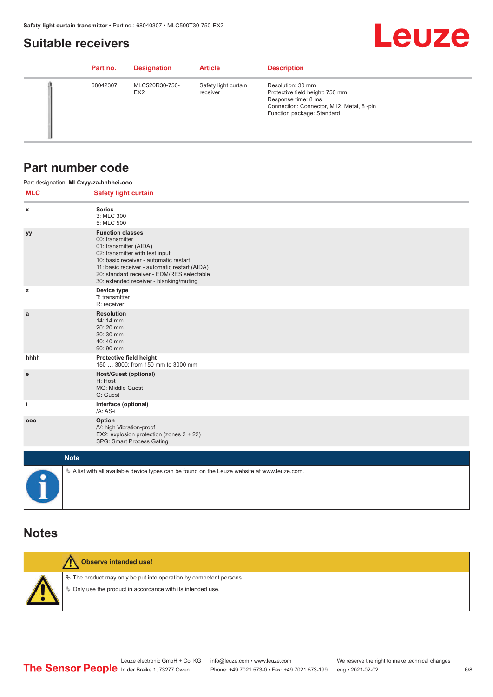### <span id="page-5-0"></span>**Suitable receivers**

# **Leuze**

| Part no. | <b>Designation</b>                | <b>Article</b>                   | <b>Description</b>                                                                                                                                    |
|----------|-----------------------------------|----------------------------------|-------------------------------------------------------------------------------------------------------------------------------------------------------|
| 68042307 | MLC520R30-750-<br>EX <sub>2</sub> | Safety light curtain<br>receiver | Resolution: 30 mm<br>Protective field height: 750 mm<br>Response time: 8 ms<br>Connection: Connector, M12, Metal, 8-pin<br>Function package: Standard |

### **Part number code**

|                                                                                                              | Part designation: MLCxyy-za-hhhhei-ooo                                                                                                                                                                                                                                                      |  |  |  |
|--------------------------------------------------------------------------------------------------------------|---------------------------------------------------------------------------------------------------------------------------------------------------------------------------------------------------------------------------------------------------------------------------------------------|--|--|--|
| <b>MLC</b>                                                                                                   | <b>Safety light curtain</b>                                                                                                                                                                                                                                                                 |  |  |  |
| x                                                                                                            | <b>Series</b><br>3: MLC 300<br>5: MLC 500                                                                                                                                                                                                                                                   |  |  |  |
| уу                                                                                                           | <b>Function classes</b><br>00: transmitter<br>01: transmitter (AIDA)<br>02: transmitter with test input<br>10: basic receiver - automatic restart<br>11: basic receiver - automatic restart (AIDA)<br>20: standard receiver - EDM/RES selectable<br>30: extended receiver - blanking/muting |  |  |  |
| z                                                                                                            | Device type<br>T: transmitter<br>R: receiver                                                                                                                                                                                                                                                |  |  |  |
| a                                                                                                            | <b>Resolution</b><br>14: 14 mm<br>20:20 mm<br>30:30 mm<br>40:40 mm<br>90: 90 mm                                                                                                                                                                                                             |  |  |  |
| hhhh                                                                                                         | Protective field height<br>150  3000: from 150 mm to 3000 mm                                                                                                                                                                                                                                |  |  |  |
| e                                                                                                            | <b>Host/Guest (optional)</b><br>H: Host<br>MG: Middle Guest<br>G: Guest                                                                                                                                                                                                                     |  |  |  |
| j.                                                                                                           | Interface (optional)<br>/A: AS-i                                                                                                                                                                                                                                                            |  |  |  |
| 000                                                                                                          | Option<br>/V: high Vibration-proof<br>EX2: explosion protection (zones 2 + 22)<br>SPG: Smart Process Gating                                                                                                                                                                                 |  |  |  |
|                                                                                                              | <b>Note</b>                                                                                                                                                                                                                                                                                 |  |  |  |
| $\&$ A list with all available device types can be found on the Leuze website at www.leuze.com.<br>$\bullet$ |                                                                                                                                                                                                                                                                                             |  |  |  |

### **Notes**

| Observe intended use!                                                                                                                |
|--------------------------------------------------------------------------------------------------------------------------------------|
| $\&$ The product may only be put into operation by competent persons.<br>§ Only use the product in accordance with its intended use. |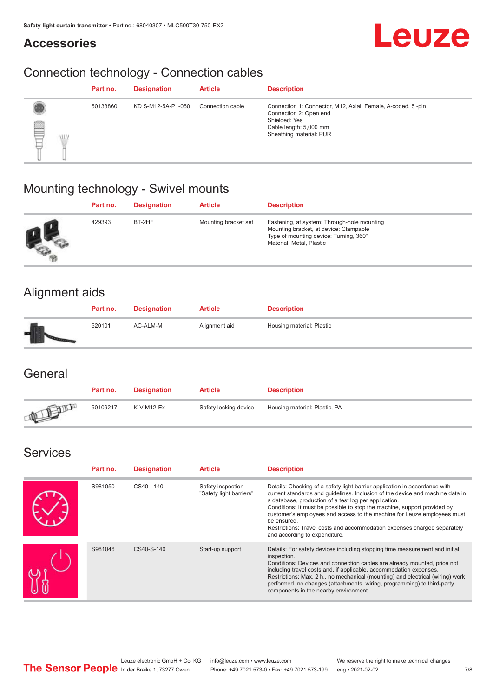### **Accessories**



# Connection technology - Connection cables

|        |            | Part no. | <b>Designation</b> | <b>Article</b>   | <b>Description</b>                                                                                                                                          |
|--------|------------|----------|--------------------|------------------|-------------------------------------------------------------------------------------------------------------------------------------------------------------|
| ▤<br>Ę | <b>ALL</b> | 50133860 | KD S-M12-5A-P1-050 | Connection cable | Connection 1: Connector, M12, Axial, Female, A-coded, 5-pin<br>Connection 2: Open end<br>Shielded: Yes<br>Cable length: 5,000 mm<br>Sheathing material: PUR |

# Mounting technology - Swivel mounts

| Part no. | <b>Designation</b> | <b>Article</b>       | <b>Description</b>                                                                                                                                          |
|----------|--------------------|----------------------|-------------------------------------------------------------------------------------------------------------------------------------------------------------|
| 429393   | BT-2HF             | Mounting bracket set | Fastening, at system: Through-hole mounting<br>Mounting bracket, at device: Clampable<br>Type of mounting device: Turning, 360°<br>Material: Metal, Plastic |

# Alignment aids

| Part no. | <b>Designation</b> | <b>Article</b> | <b>Description</b>        |
|----------|--------------------|----------------|---------------------------|
| 520101   | AC-ALM-M           | Alignment aid  | Housing material: Plastic |

### **General**

|               | Part no. | <b>Designation</b> | <b>Article</b>        | <b>Description</b>            |
|---------------|----------|--------------------|-----------------------|-------------------------------|
| <b>ATELIA</b> | 50109217 | K-V M12-Ex         | Safety locking device | Housing material: Plastic, PA |

### Services

| Part no. | <b>Designation</b> | <b>Article</b>                               | <b>Description</b>                                                                                                                                                                                                                                                                                                                                                                                                                                                                                      |
|----------|--------------------|----------------------------------------------|---------------------------------------------------------------------------------------------------------------------------------------------------------------------------------------------------------------------------------------------------------------------------------------------------------------------------------------------------------------------------------------------------------------------------------------------------------------------------------------------------------|
| S981050  | CS40-I-140         | Safety inspection<br>"Safety light barriers" | Details: Checking of a safety light barrier application in accordance with<br>current standards and guidelines. Inclusion of the device and machine data in<br>a database, production of a test log per application.<br>Conditions: It must be possible to stop the machine, support provided by<br>customer's employees and access to the machine for Leuze employees must<br>be ensured.<br>Restrictions: Travel costs and accommodation expenses charged separately<br>and according to expenditure. |
| S981046  | CS40-S-140         | Start-up support                             | Details: For safety devices including stopping time measurement and initial<br>inspection.<br>Conditions: Devices and connection cables are already mounted, price not<br>including travel costs and, if applicable, accommodation expenses.<br>Restrictions: Max. 2 h., no mechanical (mounting) and electrical (wiring) work<br>performed, no changes (attachments, wiring, programming) to third-party<br>components in the nearby environment.                                                      |